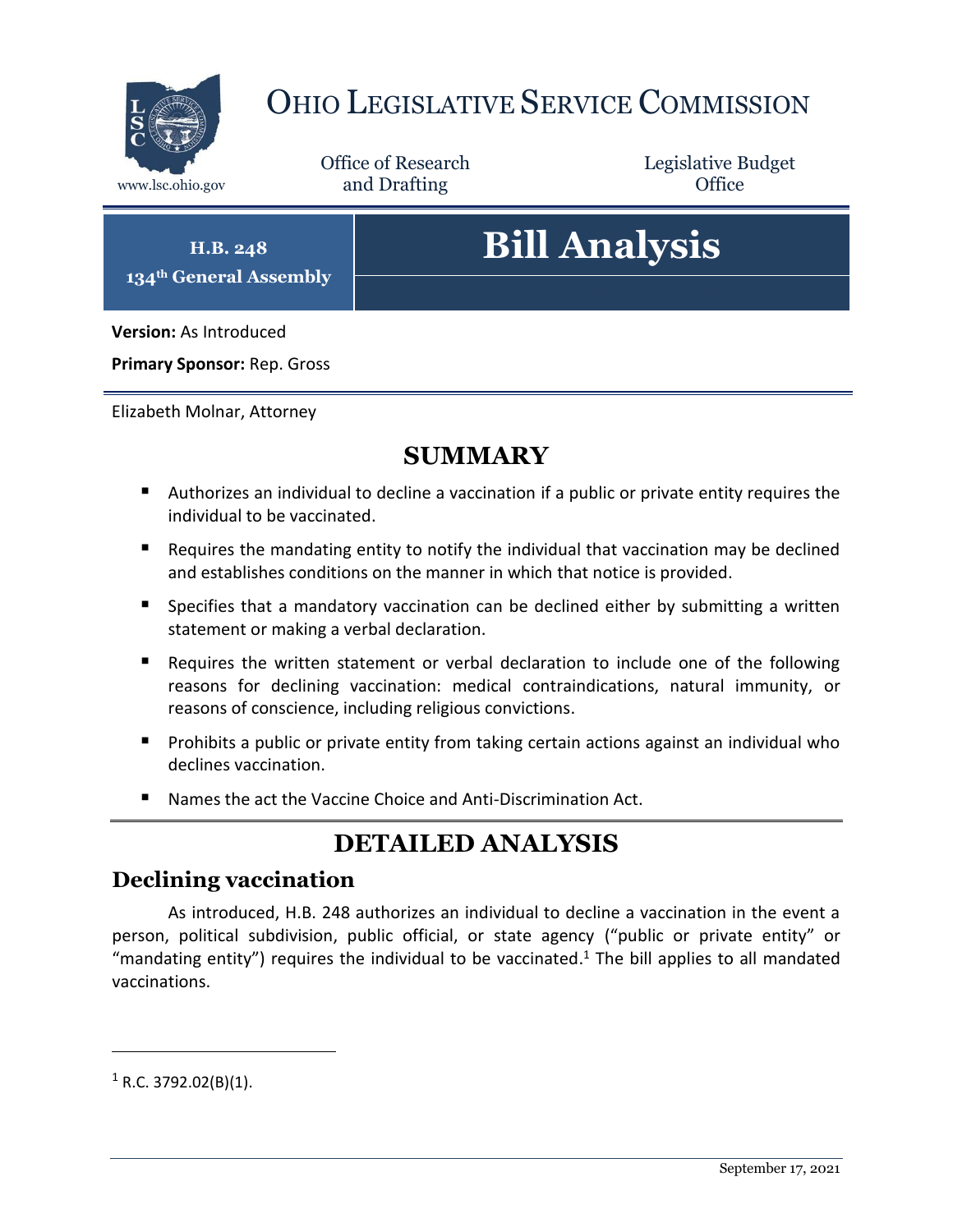

## OHIO LEGISLATIVE SERVICE COMMISSION

Office of Research www.lsc.ohio.gov **and Drafting Office** 

Legislative Budget

**H.B. 248 134th General Assembly**

# **Bill Analysis**

**Version:** As Introduced

**Primary Sponsor:** Rep. Gross

Elizabeth Molnar, Attorney

### **SUMMARY**

- Authorizes an individual to decline a vaccination if a public or private entity requires the individual to be vaccinated.
- Requires the mandating entity to notify the individual that vaccination may be declined and establishes conditions on the manner in which that notice is provided.
- **Specifies that a mandatory vaccination can be declined either by submitting a written** statement or making a verbal declaration.
- Requires the written statement or verbal declaration to include one of the following reasons for declining vaccination: medical contraindications, natural immunity, or reasons of conscience, including religious convictions.
- **Prohibits a public or private entity from taking certain actions against an individual who** declines vaccination.
- Names the act the Vaccine Choice and Anti-Discrimination Act.

## **DETAILED ANALYSIS**

#### **Declining vaccination**

As introduced, H.B. 248 authorizes an individual to decline a vaccination in the event a person, political subdivision, public official, or state agency ("public or private entity" or "mandating entity") requires the individual to be vaccinated.<sup>1</sup> The bill applies to all mandated vaccinations.

 $\overline{a}$ 

 $1$  R.C. 3792.02(B)(1).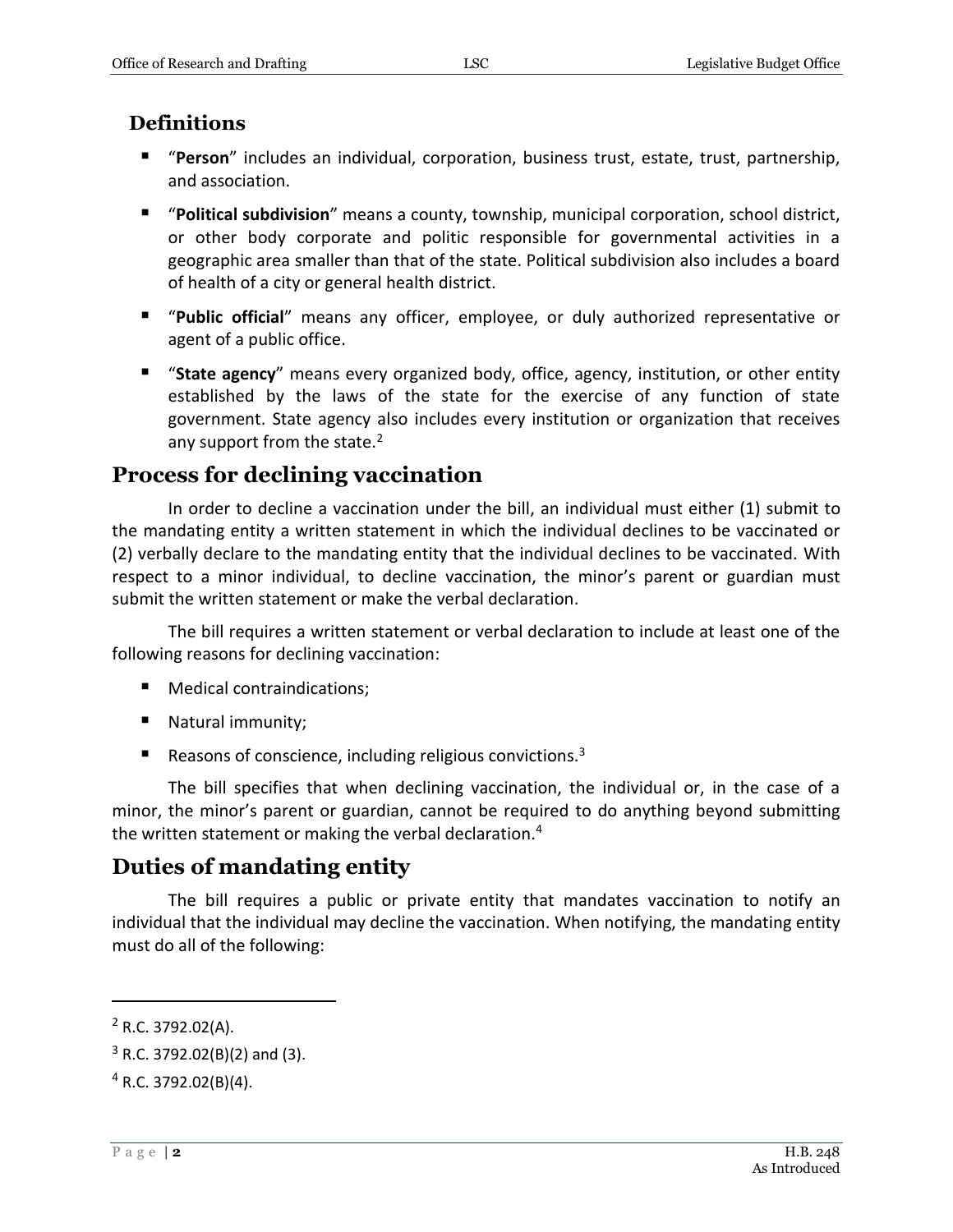#### **Definitions**

- "**Person**" includes an individual, corporation, business trust, estate, trust, partnership, and association.
- "**Political subdivision**" means a county, township, municipal corporation, school district, or other body corporate and politic responsible for governmental activities in a geographic area smaller than that of the state. Political subdivision also includes a board of health of a city or general health district.
- "**Public official**" means any officer, employee, or duly authorized representative or agent of a public office.
- "**State agency**" means every organized body, office, agency, institution, or other entity established by the laws of the state for the exercise of any function of state government. State agency also includes every institution or organization that receives any support from the state.<sup>2</sup>

#### **Process for declining vaccination**

In order to decline a vaccination under the bill, an individual must either (1) submit to the mandating entity a written statement in which the individual declines to be vaccinated or (2) verbally declare to the mandating entity that the individual declines to be vaccinated. With respect to a minor individual, to decline vaccination, the minor's parent or guardian must submit the written statement or make the verbal declaration.

The bill requires a written statement or verbal declaration to include at least one of the following reasons for declining vaccination:

- Medical contraindications:
- Natural immunity;
- Reasons of conscience, including religious convictions.<sup>3</sup>

The bill specifies that when declining vaccination, the individual or, in the case of a minor, the minor's parent or guardian, cannot be required to do anything beyond submitting the written statement or making the verbal declaration.<sup>4</sup>

#### **Duties of mandating entity**

The bill requires a public or private entity that mandates vaccination to notify an individual that the individual may decline the vaccination. When notifying, the mandating entity must do all of the following:

 $\overline{a}$ 

 $2$  R.C. 3792.02(A).

 $3$  R.C. 3792.02(B)(2) and (3).

 $4$  R.C. 3792.02(B)(4).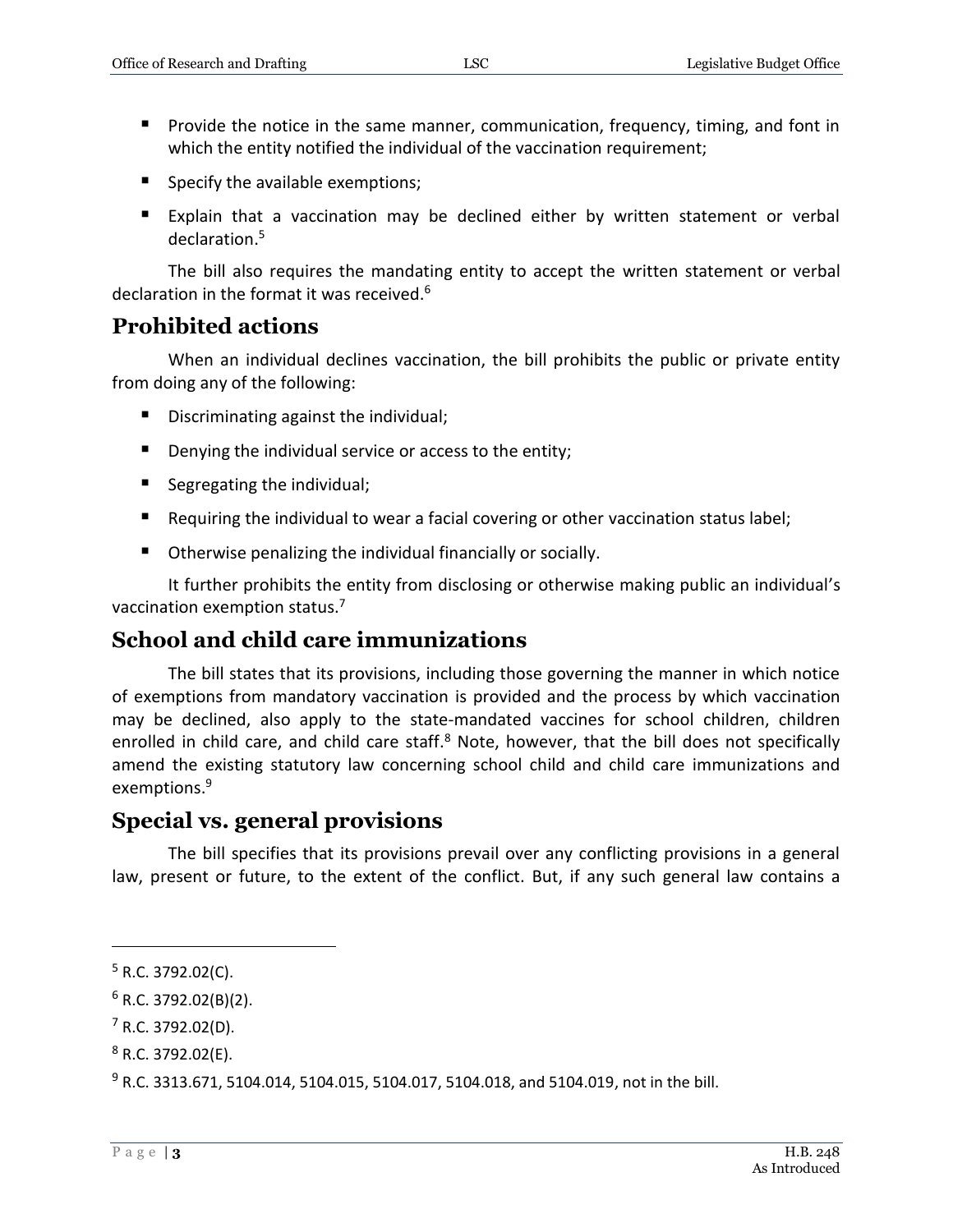- **Provide the notice in the same manner, communication, frequency, timing, and font in** which the entity notified the individual of the vaccination requirement;
- Specify the available exemptions;
- Explain that a vaccination may be declined either by written statement or verbal declaration.<sup>5</sup>

The bill also requires the mandating entity to accept the written statement or verbal declaration in the format it was received.<sup>6</sup>

#### **Prohibited actions**

When an individual declines vaccination, the bill prohibits the public or private entity from doing any of the following:

- Discriminating against the individual;
- Denying the individual service or access to the entity;
- Segregating the individual;
- Requiring the individual to wear a facial covering or other vaccination status label;
- Otherwise penalizing the individual financially or socially.

It further prohibits the entity from disclosing or otherwise making public an individual's vaccination exemption status.<sup>7</sup>

#### **School and child care immunizations**

The bill states that its provisions, including those governing the manner in which notice of exemptions from mandatory vaccination is provided and the process by which vaccination may be declined, also apply to the state-mandated vaccines for school children, children enrolled in child care, and child care staff.<sup>8</sup> Note, however, that the bill does not specifically amend the existing statutory law concerning school child and child care immunizations and exemptions.<sup>9</sup>

#### **Special vs. general provisions**

The bill specifies that its provisions prevail over any conflicting provisions in a general law, present or future, to the extent of the conflict. But, if any such general law contains a

 $\overline{a}$ 

 $5$  R.C. 3792.02(C).

 $6$  R.C. 3792.02(B)(2).

 $7$  R.C. 3792.02(D).

 $8$  R.C. 3792.02(E).

<sup>9</sup> R.C. 3313.671, 5104.014, 5104.015, 5104.017, 5104.018, and 5104.019, not in the bill.